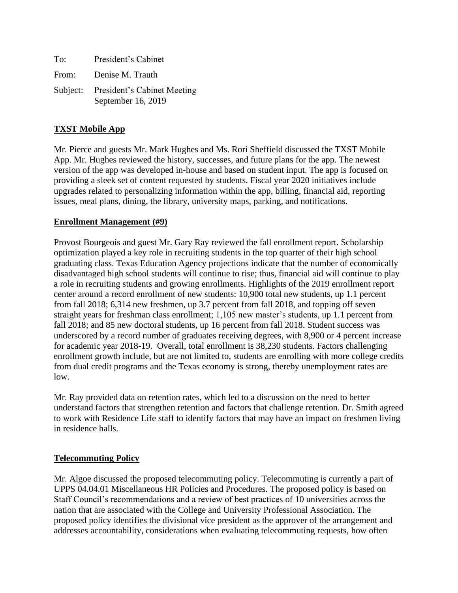| To:   | President's Cabinet                                        |
|-------|------------------------------------------------------------|
| From: | Denise M. Trauth                                           |
|       | Subject: President's Cabinet Meeting<br>September 16, 2019 |

#### **TXST Mobile App**

Mr. Pierce and guests Mr. Mark Hughes and Ms. Rori Sheffield discussed the TXST Mobile App. Mr. Hughes reviewed the history, successes, and future plans for the app. The newest version of the app was developed in-house and based on student input. The app is focused on providing a sleek set of content requested by students. Fiscal year 2020 initiatives include upgrades related to personalizing information within the app, billing, financial aid, reporting issues, meal plans, dining, the library, university maps, parking, and notifications.

#### **Enrollment Management (#9)**

Provost Bourgeois and guest Mr. Gary Ray reviewed the fall enrollment report. Scholarship optimization played a key role in recruiting students in the top quarter of their high school graduating class. Texas Education Agency projections indicate that the number of economically disadvantaged high school students will continue to rise; thus, financial aid will continue to play a role in recruiting students and growing enrollments. Highlights of the 2019 enrollment report center around a record enrollment of new students: 10,900 total new students, up 1.1 percent from fall 2018; 6,314 new freshmen, up 3.7 percent from fall 2018, and topping off seven straight years for freshman class enrollment; 1,105 new master's students, up 1.1 percent from fall 2018; and 85 new doctoral students, up 16 percent from fall 2018. Student success was underscored by a record number of graduates receiving degrees, with 8,900 or 4 percent increase for academic year 2018-19. Overall, total enrollment is 38,230 students. Factors challenging enrollment growth include, but are not limited to, students are enrolling with more college credits from dual credit programs and the Texas economy is strong, thereby unemployment rates are low.

Mr. Ray provided data on retention rates, which led to a discussion on the need to better understand factors that strengthen retention and factors that challenge retention. Dr. Smith agreed to work with Residence Life staff to identify factors that may have an impact on freshmen living in residence halls.

#### **Telecommuting Policy**

Mr. Algoe discussed the proposed telecommuting policy. Telecommuting is currently a part of UPPS 04.04.01 Miscellaneous HR Policies and Procedures. The proposed policy is based on Staff Council's recommendations and a review of best practices of 10 universities across the nation that are associated with the College and University Professional Association. The proposed policy identifies the divisional vice president as the approver of the arrangement and addresses accountability, considerations when evaluating telecommuting requests, how often